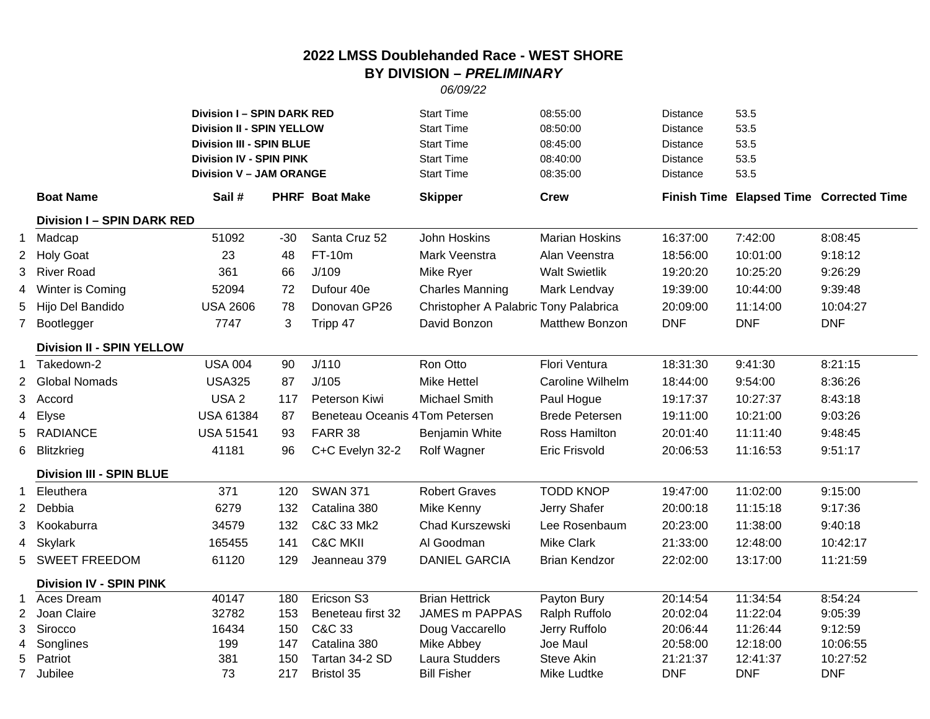## **2022 LMSS Doublehanded Race - WEST SHORE BY DIVISION –** *PRELIMINARY*

## *06/09/22*

|                |                                                | <b>Division I - SPIN DARK RED</b><br>Division II - SPIN YELLOW<br><b>Division III - SPIN BLUE</b><br><b>Division IV - SPIN PINK</b><br><b>Division V - JAM ORANGE</b> |       |                                | <b>Start Time</b><br><b>Start Time</b><br><b>Start Time</b><br><b>Start Time</b><br><b>Start Time</b> | 08:55:00<br>08:50:00<br>08:45:00<br>08:40:00<br>08:35:00 | <b>Distance</b><br><b>Distance</b><br><b>Distance</b><br><b>Distance</b><br><b>Distance</b> | 53.5<br>53.5<br>53.5<br>53.5<br>53.5 |                                         |
|----------------|------------------------------------------------|-----------------------------------------------------------------------------------------------------------------------------------------------------------------------|-------|--------------------------------|-------------------------------------------------------------------------------------------------------|----------------------------------------------------------|---------------------------------------------------------------------------------------------|--------------------------------------|-----------------------------------------|
|                | <b>Boat Name</b>                               | Sail #                                                                                                                                                                |       | <b>PHRF Boat Make</b>          | <b>Skipper</b>                                                                                        | <b>Crew</b>                                              |                                                                                             |                                      | Finish Time Elapsed Time Corrected Time |
|                | <b>Division I - SPIN DARK RED</b>              |                                                                                                                                                                       |       |                                |                                                                                                       |                                                          |                                                                                             |                                      |                                         |
|                | 1 Madcap                                       | 51092                                                                                                                                                                 | $-30$ | Santa Cruz 52                  | John Hoskins                                                                                          | <b>Marian Hoskins</b>                                    | 16:37:00                                                                                    | 7:42:00                              | 8:08:45                                 |
| $^{2}$         | <b>Holy Goat</b>                               | 23                                                                                                                                                                    | 48    | FT-10m                         | Mark Veenstra                                                                                         | Alan Veenstra                                            | 18:56:00                                                                                    | 10:01:00                             | 9:18:12                                 |
| 3              | <b>River Road</b>                              | 361                                                                                                                                                                   | 66    | J/109                          | Mike Ryer                                                                                             | <b>Walt Swietlik</b>                                     | 19:20:20                                                                                    | 10:25:20                             | 9:26:29                                 |
|                | 4 Winter is Coming                             | 52094                                                                                                                                                                 | 72    | Dufour 40e                     | <b>Charles Manning</b>                                                                                | Mark Lendvay                                             | 19:39:00                                                                                    | 10:44:00                             | 9:39:48                                 |
| 5              | Hijo Del Bandido                               | <b>USA 2606</b>                                                                                                                                                       | 78    | Donovan GP26                   | Christopher A Palabric Tony Palabrica                                                                 |                                                          | 20:09:00                                                                                    | 11:14:00                             | 10:04:27                                |
| 7              | Bootlegger                                     | 7747                                                                                                                                                                  | 3     | Tripp 47                       | David Bonzon                                                                                          | <b>Matthew Bonzon</b>                                    | <b>DNF</b>                                                                                  | <b>DNF</b>                           | <b>DNF</b>                              |
|                | <b>Division II - SPIN YELLOW</b>               |                                                                                                                                                                       |       |                                |                                                                                                       |                                                          |                                                                                             |                                      |                                         |
|                | 1 Takedown-2                                   | <b>USA 004</b>                                                                                                                                                        | 90    | J/110                          | Ron Otto                                                                                              | Flori Ventura                                            | 18:31:30                                                                                    | 9:41:30                              | 8:21:15                                 |
| $^{2}$         | <b>Global Nomads</b>                           | <b>USA325</b>                                                                                                                                                         | 87    | J/105                          | <b>Mike Hettel</b>                                                                                    | Caroline Wilhelm                                         | 18:44:00                                                                                    | 9:54:00                              | 8:36:26                                 |
| 3              | Accord                                         | USA <sub>2</sub>                                                                                                                                                      | 117   | Peterson Kiwi                  | <b>Michael Smith</b>                                                                                  | Paul Hogue                                               | 19:17:37                                                                                    | 10:27:37                             | 8:43:18                                 |
| 4              | Elyse                                          | <b>USA 61384</b>                                                                                                                                                      | 87    | Beneteau Oceanis 4Tom Petersen |                                                                                                       | <b>Brede Petersen</b>                                    | 19:11:00                                                                                    | 10:21:00                             | 9:03:26                                 |
| 5              | <b>RADIANCE</b>                                | <b>USA 51541</b>                                                                                                                                                      | 93    | FARR 38                        | Benjamin White                                                                                        | Ross Hamilton                                            | 20:01:40                                                                                    | 11:11:40                             | 9:48:45                                 |
| 6              | <b>Blitzkrieg</b>                              | 41181                                                                                                                                                                 | 96    | C+C Evelyn 32-2                | Rolf Wagner                                                                                           | Eric Frisvold                                            | 20:06:53                                                                                    | 11:16:53                             | 9:51:17                                 |
|                | <b>Division III - SPIN BLUE</b>                |                                                                                                                                                                       |       |                                |                                                                                                       |                                                          |                                                                                             |                                      |                                         |
|                | 1 Eleuthera                                    | 371                                                                                                                                                                   | 120   | <b>SWAN 371</b>                | <b>Robert Graves</b>                                                                                  | <b>TODD KNOP</b>                                         | 19:47:00                                                                                    | 11:02:00                             | 9:15:00                                 |
| $\overline{c}$ | Debbia                                         | 6279                                                                                                                                                                  | 132   | Catalina 380                   | Mike Kenny                                                                                            | Jerry Shafer                                             | 20:00:18                                                                                    | 11:15:18                             | 9:17:36                                 |
| 3              | Kookaburra                                     | 34579                                                                                                                                                                 | 132   | <b>C&amp;C 33 Mk2</b>          | Chad Kurszewski                                                                                       | Lee Rosenbaum                                            | 20:23:00                                                                                    | 11:38:00                             | 9:40:18                                 |
| 4              | Skylark                                        | 165455                                                                                                                                                                | 141   | <b>C&amp;C MKII</b>            | Al Goodman                                                                                            | Mike Clark                                               | 21:33:00                                                                                    | 12:48:00                             | 10:42:17                                |
| 5.             | <b>SWEET FREEDOM</b>                           | 61120                                                                                                                                                                 | 129   | Jeanneau 379                   | <b>DANIEL GARCIA</b>                                                                                  | <b>Brian Kendzor</b>                                     | 22:02:00                                                                                    | 13:17:00                             | 11:21:59                                |
|                |                                                |                                                                                                                                                                       |       |                                |                                                                                                       |                                                          |                                                                                             |                                      |                                         |
|                | <b>Division IV - SPIN PINK</b><br>1 Aces Dream | 40147                                                                                                                                                                 | 180   | Ericson S3                     | <b>Brian Hettrick</b>                                                                                 | Payton Bury                                              | 20:14:54                                                                                    | 11:34:54                             | 8:54:24                                 |
| 2              | Joan Claire                                    | 32782                                                                                                                                                                 | 153   | Beneteau first 32              | JAMES m PAPPAS                                                                                        | Ralph Ruffolo                                            | 20:02:04                                                                                    | 11:22:04                             | 9:05:39                                 |
| 3              | Sirocco                                        | 16434                                                                                                                                                                 | 150   | C&C 33                         | Doug Vaccarello                                                                                       | Jerry Ruffolo                                            | 20:06:44                                                                                    | 11:26:44                             | 9:12:59                                 |
| 4              | Songlines                                      | 199                                                                                                                                                                   | 147   | Catalina 380                   | Mike Abbey                                                                                            | Joe Maul                                                 | 20:58:00                                                                                    | 12:18:00                             | 10:06:55                                |
| 5              | Patriot                                        | 381                                                                                                                                                                   | 150   | Tartan 34-2 SD                 | Laura Studders                                                                                        | Steve Akin                                               | 21:21:37                                                                                    | 12:41:37                             | 10:27:52                                |
| 7              | Jubilee                                        | 73                                                                                                                                                                    | 217   | <b>Bristol 35</b>              | <b>Bill Fisher</b>                                                                                    | Mike Ludtke                                              | <b>DNF</b>                                                                                  | <b>DNF</b>                           | <b>DNF</b>                              |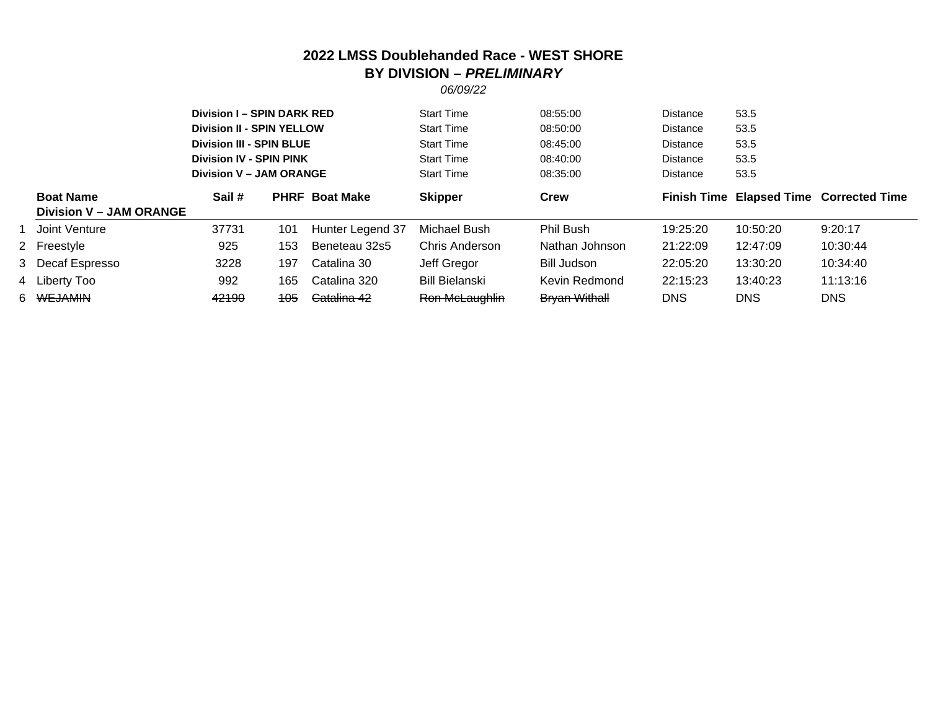## **2022 LMSS Doublehanded Race - WEST SHORE BY DIVISION –** *PRELIMINARY*

*06/09/22*

|                                                    | <b>Division I - SPIN DARK RED</b><br><b>Division II - SPIN YELLOW</b><br><b>Division III - SPIN BLUE</b><br><b>Division IV - SPIN PINK</b><br><b>Division V - JAM ORANGE</b> |     |                       | <b>Start Time</b><br><b>Start Time</b><br><b>Start Time</b><br><b>Start Time</b><br><b>Start Time</b> | 08:55:00<br>08:50:00<br>08:45:00<br>08:40:00<br>08:35:00 | <b>Distance</b><br><b>Distance</b><br><b>Distance</b><br><b>Distance</b><br>Distance | 53.5<br>53.5<br>53.5<br>53.5<br>53.5 |                                         |
|----------------------------------------------------|------------------------------------------------------------------------------------------------------------------------------------------------------------------------------|-----|-----------------------|-------------------------------------------------------------------------------------------------------|----------------------------------------------------------|--------------------------------------------------------------------------------------|--------------------------------------|-----------------------------------------|
| <b>Boat Name</b><br><b>Division V - JAM ORANGE</b> | Sail #                                                                                                                                                                       |     | <b>PHRF Boat Make</b> | <b>Skipper</b>                                                                                        | Crew                                                     |                                                                                      |                                      | Finish Time Elapsed Time Corrected Time |
| 1 Joint Venture                                    | 37731                                                                                                                                                                        | 101 | Hunter Legend 37      | Michael Bush                                                                                          | Phil Bush                                                | 19:25:20                                                                             | 10:50:20                             | 9:20:17                                 |
| 2 Freestyle                                        | 925                                                                                                                                                                          | 153 | Beneteau 32s5         | <b>Chris Anderson</b>                                                                                 | Nathan Johnson                                           | 21:22:09                                                                             | 12:47:09                             | 10:30:44                                |
| 3 Decaf Espresso                                   | 3228                                                                                                                                                                         | 197 | Catalina 30           | Jeff Gregor                                                                                           | Bill Judson                                              | 22:05:20                                                                             | 13:30:20                             | 10:34:40                                |
| 4 Liberty Too                                      | 992                                                                                                                                                                          | 165 | Catalina 320          | <b>Bill Bielanski</b>                                                                                 | Kevin Redmond                                            | 22:15:23                                                                             | 13:40:23                             | 11:13:16                                |
| 6 <del>WEJAMIN</del>                               | 42190                                                                                                                                                                        | 105 | Catalina 42           | Ron McLaughlin                                                                                        | <b>Bryan Withall</b>                                     | <b>DNS</b>                                                                           | <b>DNS</b>                           | <b>DNS</b>                              |